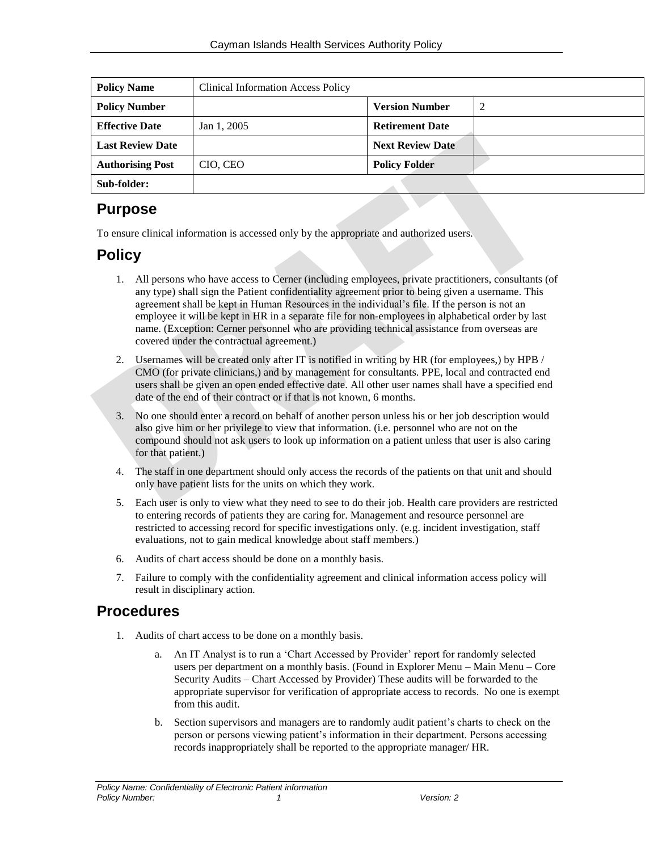| <b>Policy Name</b>      | <b>Clinical Information Access Policy</b> |                         |  |
|-------------------------|-------------------------------------------|-------------------------|--|
| <b>Policy Number</b>    |                                           | <b>Version Number</b>   |  |
| <b>Effective Date</b>   | Jan 1, 2005                               | <b>Retirement Date</b>  |  |
| <b>Last Review Date</b> |                                           | <b>Next Review Date</b> |  |
| <b>Authorising Post</b> | CIO, CEO                                  | <b>Policy Folder</b>    |  |
| Sub-folder:             |                                           |                         |  |

# **Purpose**

To ensure clinical information is accessed only by the appropriate and authorized users.

# **Policy**

- 1. All persons who have access to Cerner (including employees, private practitioners, consultants (of any type) shall sign the Patient confidentiality agreement prior to being given a username. This agreement shall be kept in Human Resources in the individual's file. If the person is not an employee it will be kept in HR in a separate file for non-employees in alphabetical order by last name. (Exception: Cerner personnel who are providing technical assistance from overseas are covered under the contractual agreement.)
- 2. Usernames will be created only after IT is notified in writing by HR (for employees,) by HPB / CMO (for private clinicians,) and by management for consultants. PPE, local and contracted end users shall be given an open ended effective date. All other user names shall have a specified end date of the end of their contract or if that is not known, 6 months.
- 3. No one should enter a record on behalf of another person unless his or her job description would also give him or her privilege to view that information. (i.e. personnel who are not on the compound should not ask users to look up information on a patient unless that user is also caring for that patient.)
- 4. The staff in one department should only access the records of the patients on that unit and should only have patient lists for the units on which they work.
- 5. Each user is only to view what they need to see to do their job. Health care providers are restricted to entering records of patients they are caring for. Management and resource personnel are restricted to accessing record for specific investigations only. (e.g. incident investigation, staff evaluations, not to gain medical knowledge about staff members.)
- 6. Audits of chart access should be done on a monthly basis.
- 7. Failure to comply with the confidentiality agreement and clinical information access policy will result in disciplinary action.

# **Procedures**

- 1. Audits of chart access to be done on a monthly basis.
	- a. An IT Analyst is to run a 'Chart Accessed by Provider' report for randomly selected users per department on a monthly basis. (Found in Explorer Menu – Main Menu – Core Security Audits – Chart Accessed by Provider) These audits will be forwarded to the appropriate supervisor for verification of appropriate access to records. No one is exempt from this audit.
	- b. Section supervisors and managers are to randomly audit patient's charts to check on the person or persons viewing patient's information in their department. Persons accessing records inappropriately shall be reported to the appropriate manager/ HR.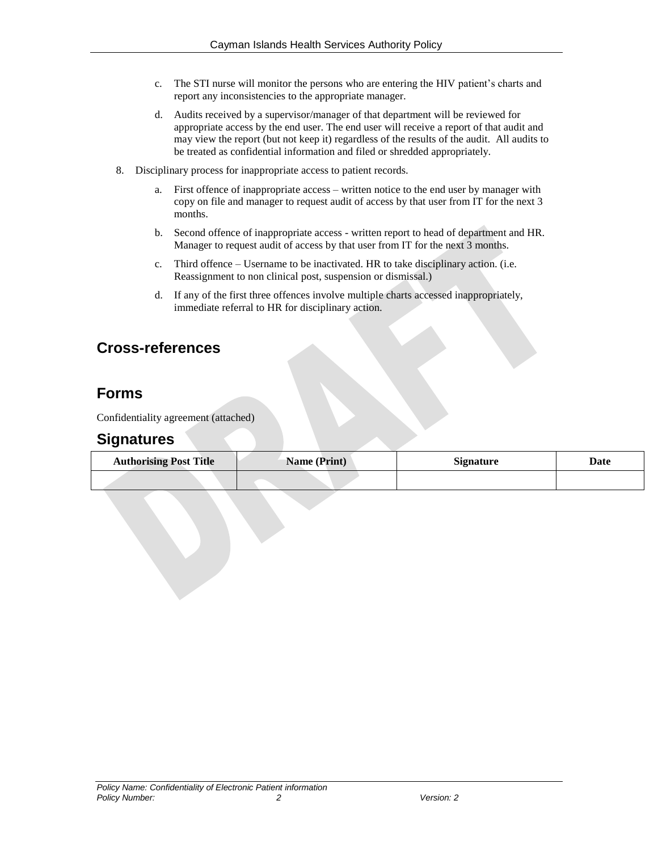- c. The STI nurse will monitor the persons who are entering the HIV patient's charts and report any inconsistencies to the appropriate manager.
- d. Audits received by a supervisor/manager of that department will be reviewed for appropriate access by the end user. The end user will receive a report of that audit and may view the report (but not keep it) regardless of the results of the audit. All audits to be treated as confidential information and filed or shredded appropriately.
- 8. Disciplinary process for inappropriate access to patient records.
	- a. First offence of inappropriate access written notice to the end user by manager with copy on file and manager to request audit of access by that user from IT for the next 3 months.
	- b. Second offence of inappropriate access written report to head of department and HR. Manager to request audit of access by that user from IT for the next 3 months.
	- c. Third offence Username to be inactivated. HR to take disciplinary action. (i.e. Reassignment to non clinical post, suspension or dismissal.)
	- d. If any of the first three offences involve multiple charts accessed inappropriately, immediate referral to HR for disciplinary action.

# **Cross-references**

# **Forms**

Confidentiality agreement (attached)

## **Signatures**

| <b>Authorising Post Title</b> | Name (Print) | <b>Signature</b> | Date |
|-------------------------------|--------------|------------------|------|
|                               |              |                  |      |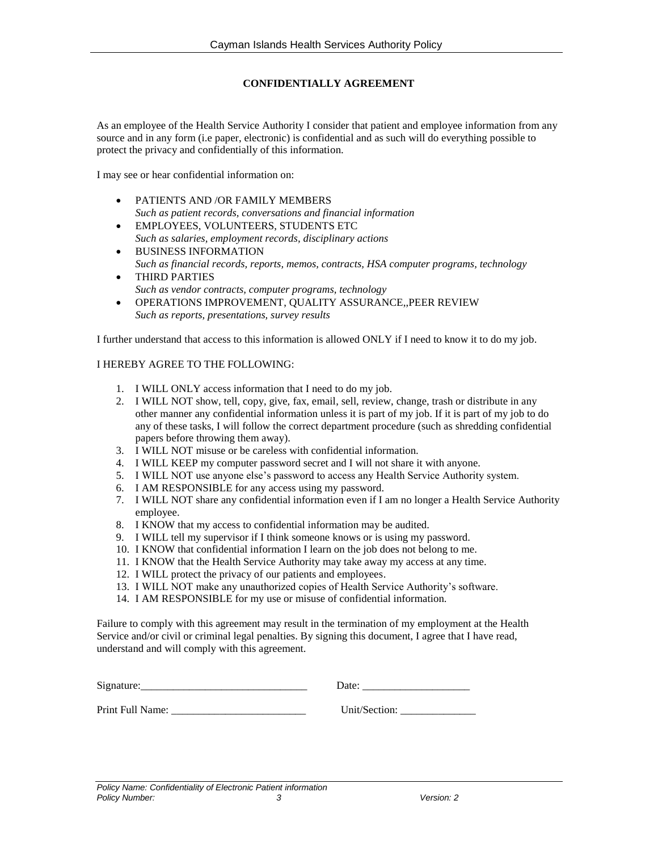### **CONFIDENTIALLY AGREEMENT**

As an employee of the Health Service Authority I consider that patient and employee information from any source and in any form (i.e paper, electronic) is confidential and as such will do everything possible to protect the privacy and confidentially of this information.

I may see or hear confidential information on:

- PATIENTS AND /OR FAMILY MEMBERS *Such as patient records, conversations and financial information*
- EMPLOYEES, VOLUNTEERS, STUDENTS ETC *Such as salaries, employment records, disciplinary actions*
- **BUSINESS INFORMATION** *Such as financial records, reports, memos, contracts, HSA computer programs, technology* THIRD PARTIES
- *Such as vendor contracts, computer programs, technology*
- OPERATIONS IMPROVEMENT, QUALITY ASSURANCE,,PEER REVIEW *Such as reports, presentations, survey results*

I further understand that access to this information is allowed ONLY if I need to know it to do my job.

### I HEREBY AGREE TO THE FOLLOWING:

- 1. I WILL ONLY access information that I need to do my job.
- 2. I WILL NOT show, tell, copy, give, fax, email, sell, review, change, trash or distribute in any other manner any confidential information unless it is part of my job. If it is part of my job to do any of these tasks, I will follow the correct department procedure (such as shredding confidential papers before throwing them away).
- 3. I WILL NOT misuse or be careless with confidential information.
- 4. I WILL KEEP my computer password secret and I will not share it with anyone.
- 5. I WILL NOT use anyone else's password to access any Health Service Authority system.
- 6. I AM RESPONSIBLE for any access using my password.
- 7. I WILL NOT share any confidential information even if I am no longer a Health Service Authority employee.
- 8. I KNOW that my access to confidential information may be audited.
- 9. I WILL tell my supervisor if I think someone knows or is using my password.
- 10. I KNOW that confidential information I learn on the job does not belong to me.
- 11. I KNOW that the Health Service Authority may take away my access at any time.
- 12. I WILL protect the privacy of our patients and employees.
- 13. I WILL NOT make any unauthorized copies of Health Service Authority's software.
- 14. I AM RESPONSIBLE for my use or misuse of confidential information.

Failure to comply with this agreement may result in the termination of my employment at the Health Service and/or civil or criminal legal penalties. By signing this document, I agree that I have read, understand and will comply with this agreement.

| Signature:       | Date:         |
|------------------|---------------|
| Print Full Name: | Unit/Section: |